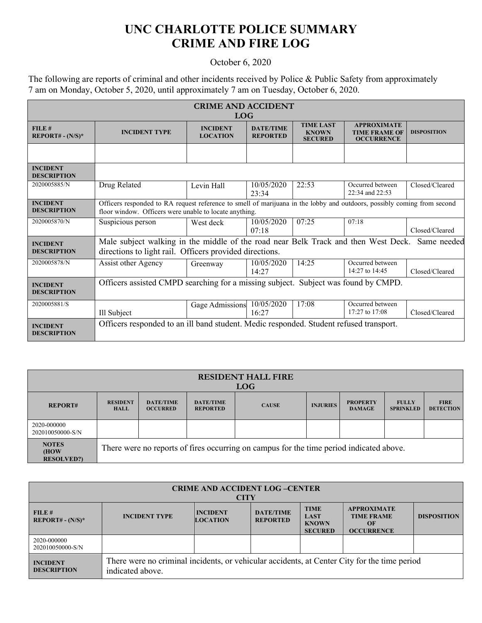## **UNC CHARLOTTE POLICE SUMMARY CRIME AND FIRE LOG**

## October 6, 2020

The following are reports of criminal and other incidents received by Police & Public Safety from approximately 7 am on Monday, October 5, 2020, until approximately 7 am on Tuesday, October 6, 2020.

| <b>CRIME AND ACCIDENT</b><br><b>LOG</b> |                                                                                                                                                                                   |                                    |                                     |                                                    |                                                                 |                    |  |
|-----------------------------------------|-----------------------------------------------------------------------------------------------------------------------------------------------------------------------------------|------------------------------------|-------------------------------------|----------------------------------------------------|-----------------------------------------------------------------|--------------------|--|
| FILE#<br>$REPORT# - (N/S)*$             | <b>INCIDENT TYPE</b>                                                                                                                                                              | <b>INCIDENT</b><br><b>LOCATION</b> | <b>DATE/TIME</b><br><b>REPORTED</b> | <b>TIME LAST</b><br><b>KNOWN</b><br><b>SECURED</b> | <b>APPROXIMATE</b><br><b>TIME FRAME OF</b><br><b>OCCURRENCE</b> | <b>DISPOSITION</b> |  |
|                                         |                                                                                                                                                                                   |                                    |                                     |                                                    |                                                                 |                    |  |
| <b>INCIDENT</b><br><b>DESCRIPTION</b>   |                                                                                                                                                                                   |                                    |                                     |                                                    |                                                                 |                    |  |
| 2020005885/N                            | Drug Related                                                                                                                                                                      | Levin Hall                         | 10/05/2020<br>23:34                 | 22:53                                              | Occurred between<br>22:34 and 22:53                             | Closed/Cleared     |  |
| <b>INCIDENT</b><br><b>DESCRIPTION</b>   | Officers responded to RA request reference to smell of marijuana in the lobby and outdoors, possibly coming from second<br>floor window. Officers were unable to locate anything. |                                    |                                     |                                                    |                                                                 |                    |  |
| 2020005870/N                            | Suspicious person                                                                                                                                                                 | West deck                          | 10/05/2020<br>07:18                 | 07:25                                              | 07:18                                                           | Closed/Cleared     |  |
| <b>INCIDENT</b><br><b>DESCRIPTION</b>   | Male subject walking in the middle of the road near Belk Track and then West Deck.<br>Same needed<br>directions to light rail. Officers provided directions.                      |                                    |                                     |                                                    |                                                                 |                    |  |
| 2020005878/N                            | Assist other Agency                                                                                                                                                               | Greenway                           | 10/05/2020<br>14:27                 | 14:25                                              | Occurred between<br>14:27 to 14:45                              | Closed/Cleared     |  |
| <b>INCIDENT</b><br><b>DESCRIPTION</b>   | Officers assisted CMPD searching for a missing subject. Subject was found by CMPD.                                                                                                |                                    |                                     |                                                    |                                                                 |                    |  |
| 2020005881/S                            | Ill Subject                                                                                                                                                                       | Gage Admissions                    | 10/05/2020<br>16:27                 | 17:08                                              | Occurred between<br>17:27 to 17:08                              | Closed/Cleared     |  |
| <b>INCIDENT</b><br><b>DESCRIPTION</b>   | Officers responded to an ill band student. Medic responded. Student refused transport.                                                                                            |                                    |                                     |                                                    |                                                                 |                    |  |

| <b>RESIDENT HALL FIRE</b><br><b>LOG</b>    |                                                                                         |                                     |                                     |              |                 |                                  |                                  |                                 |
|--------------------------------------------|-----------------------------------------------------------------------------------------|-------------------------------------|-------------------------------------|--------------|-----------------|----------------------------------|----------------------------------|---------------------------------|
| <b>REPORT#</b>                             | <b>RESIDENT</b><br><b>HALL</b>                                                          | <b>DATE/TIME</b><br><b>OCCURRED</b> | <b>DATE/TIME</b><br><b>REPORTED</b> | <b>CAUSE</b> | <b>INJURIES</b> | <b>PROPERTY</b><br><b>DAMAGE</b> | <b>FULLY</b><br><b>SPRINKLED</b> | <b>FIRE</b><br><b>DETECTION</b> |
| 2020-000000<br>202010050000-S/N            |                                                                                         |                                     |                                     |              |                 |                                  |                                  |                                 |
| <b>NOTES</b><br>(HOW)<br><b>RESOLVED?)</b> | There were no reports of fires occurring on campus for the time period indicated above. |                                     |                                     |              |                 |                                  |                                  |                                 |

| <b>CRIME AND ACCIDENT LOG-CENTER</b><br><b>CITY</b> |                                                                                                                  |                                    |                                     |                                                              |                                                                    |                    |
|-----------------------------------------------------|------------------------------------------------------------------------------------------------------------------|------------------------------------|-------------------------------------|--------------------------------------------------------------|--------------------------------------------------------------------|--------------------|
| FILE#<br>$REPORT# - (N/S)*$                         | <b>INCIDENT TYPE</b>                                                                                             | <b>INCIDENT</b><br><b>LOCATION</b> | <b>DATE/TIME</b><br><b>REPORTED</b> | <b>TIME</b><br><b>LAST</b><br><b>KNOWN</b><br><b>SECURED</b> | <b>APPROXIMATE</b><br><b>TIME FRAME</b><br>OF<br><b>OCCURRENCE</b> | <b>DISPOSITION</b> |
| 2020-000000<br>202010050000-S/N                     |                                                                                                                  |                                    |                                     |                                                              |                                                                    |                    |
| <b>INCIDENT</b><br><b>DESCRIPTION</b>               | There were no criminal incidents, or vehicular accidents, at Center City for the time period<br>indicated above. |                                    |                                     |                                                              |                                                                    |                    |